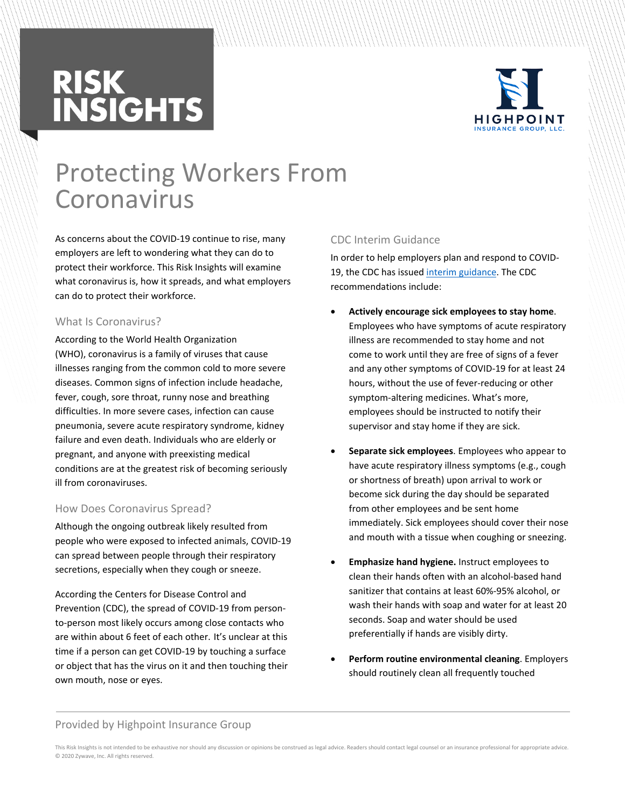# **RISK<br>INSIGHTS**



### Protecting Workers From Coronavirus

As concerns about the COVID-19 continue to rise, many employers are left to wondering what they can do to protect their workforce. This Risk Insights will examine what coronavirus is, how it spreads, and what employers can do to protect their workforce.

#### What Is Coronavirus?

According to the World Health Organization (WHO), coronavirus is a family of viruses that cause illnesses ranging from the common cold to more severe diseases. Common signs of infection include headache, fever, cough, sore throat, runny nose and breathing difficulties. In more severe cases, infection can cause pneumonia, severe acute respiratory syndrome, kidney failure and even death. Individuals who are elderly or pregnant, and anyone with preexisting medical conditions are at the greatest risk of becoming seriously ill from coronaviruses.

#### How Does Coronavirus Spread?

Although the ongoing outbreak likely resulted from people who were exposed to infected animals, COVID-19 can spread between people through their respiratory secretions, especially when they cough or sneeze.

According the Centers for Disease Control and Prevention (CDC), the spread of COVID-19 from personto-person most likely occurs among close contacts who are within about 6 feet of each other. It's unclear at this time if a person can get COVID-19 by touching a surface or object that has the virus on it and then touching their own mouth, nose or eyes.

#### CDC Interim Guidance

In order to help employers plan and respond to COVID-19, the CDC has issued [interim guidance.](https://www.cdc.gov/coronavirus/2019-ncov/specific-groups/guidance-business-response.html?CDC_AA_refVal=https://www.cdc.gov/coronavirus/2019-ncov/guidance-business-response.html) The CDC recommendations include:

- **Actively encourage sick employees to stay home**. Employees who have symptoms of acute respiratory illness are recommended to stay home and not come to work until they are free of signs of a fever and any other symptoms of COVID-19 for at least 24 hours, without the use of fever-reducing or other symptom-altering medicines. What's more, employees should be instructed to notify their supervisor and stay home if they are sick.
- **Separate sick employees**. Employees who appear to have acute respiratory illness symptoms (e.g., cough or shortness of breath) upon arrival to work or become sick during the day should be separated from other employees and be sent home immediately. Sick employees should cover their nose and mouth with a tissue when coughing or sneezing.
- **Emphasize hand hygiene.** Instruct employees to clean their hands often with an alcohol-based hand sanitizer that contains at least 60%-95% alcohol, or wash their hands with soap and water for at least 20 seconds. Soap and water should be used preferentially if hands are visibly dirty.
- **Perform routine environmental cleaning**. Employers should routinely clean all frequently touched

#### Provided by Highpoint Insurance Group

This Risk Insights is not intended to be exhaustive nor should any discussion or opinions be construed as legal advice. Readers should contact legal counsel or an insurance professional for appropriate advice. © 2020 Zywave, Inc. All rights reserved.